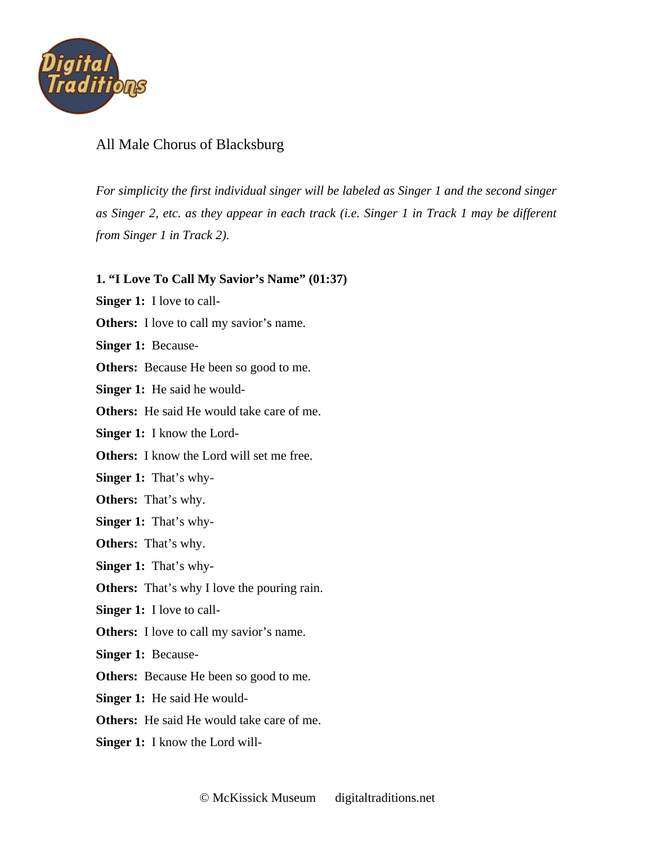

## All Male Chorus of Blacksburg

*For simplicity the first individual singer will be labeled as Singer 1 and the second singer as Singer 2, etc. as they appear in each track (i.e. Singer 1 in Track 1 may be different from Singer 1 in Track 2).* 

## **1. "I Love To Call My Savior's Name" (01:37)**

**Singer 1:** I love to call-

**Others:** I love to call my savior's name.

l, **Singer 1:** Because-

**Others:** Because He been so good to me.

**Singer 1:** He said he would-

**Others:** He said He would take care of me.

**Singer 1:** I know the Lord-

**Others:** I know the Lord will set me free.

**Singer 1:** That's why-

**Others:** That's why.

**Singer 1:** That's why-

**Others:** That's why.

**Singer 1:** That's why-

**Others:** That's why I love the pouring rain.

**Singer 1:** I love to call-

**Others:** I love to call my savior's name.

**Singer 1:** Because-

**Others:** Because He been so good to me.

**Singer 1:** He said He would-

**Others:** He said He would take care of me.

**Singer 1:** I know the Lord will-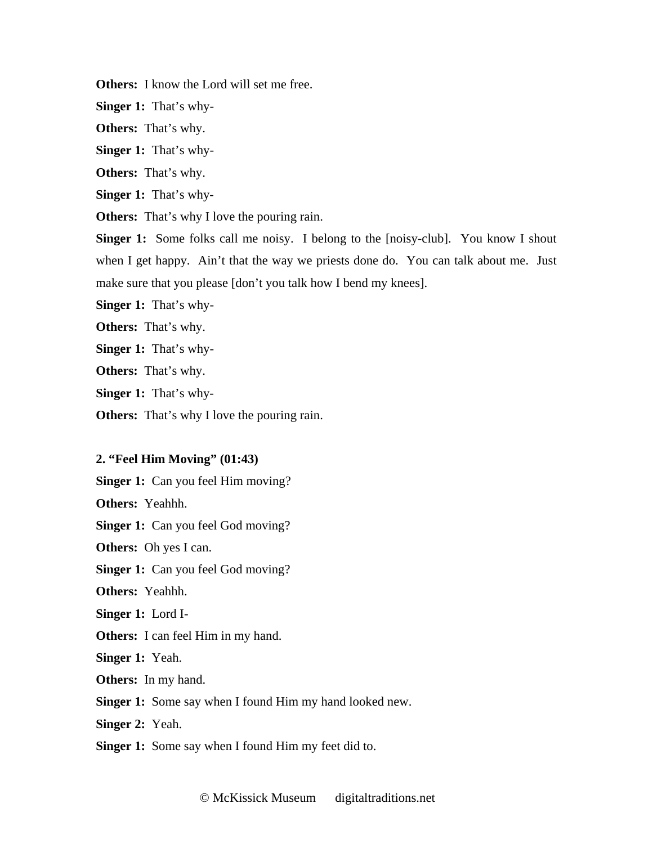**Others:** I know the Lord will set me free.

**Singer 1:** That's why-

**Others:** That's why.

**Singer 1:** That's why-

**Others:** That's why.

**Singer 1:** That's why-

**Others:** That's why I love the pouring rain.

**Singer 1:** Some folks call me noisy. I belong to the [noisy-club]. You know I shout when I get happy. Ain't that the way we priests done do. You can talk about me. Just make sure that you please [don't you talk how I bend my knees].

**Singer 1:** That's why-

**Others:** That's why.

**Singer 1:** That's why-

**Others:** That's why.

**Singer 1:** That's why-

**Others:** That's why I love the pouring rain.

## **2. "Feel Him Moving" (01:43)**

**Singer 1:** Can you feel Him moving?

**Others:** Yeahhh.

**Singer 1:** Can you feel God moving?

**Others:** Oh yes I can.

**Singer 1:** Can you feel God moving?

**Others:** Yeahhh.

**Singer 1:** Lord I-

**Others:** I can feel Him in my hand.

**Singer 1:** Yeah.

**Others:** In my hand.

**Singer 1:** Some say when I found Him my hand looked new.

**Singer 2:** Yeah.

**Singer 1:** Some say when I found Him my feet did to.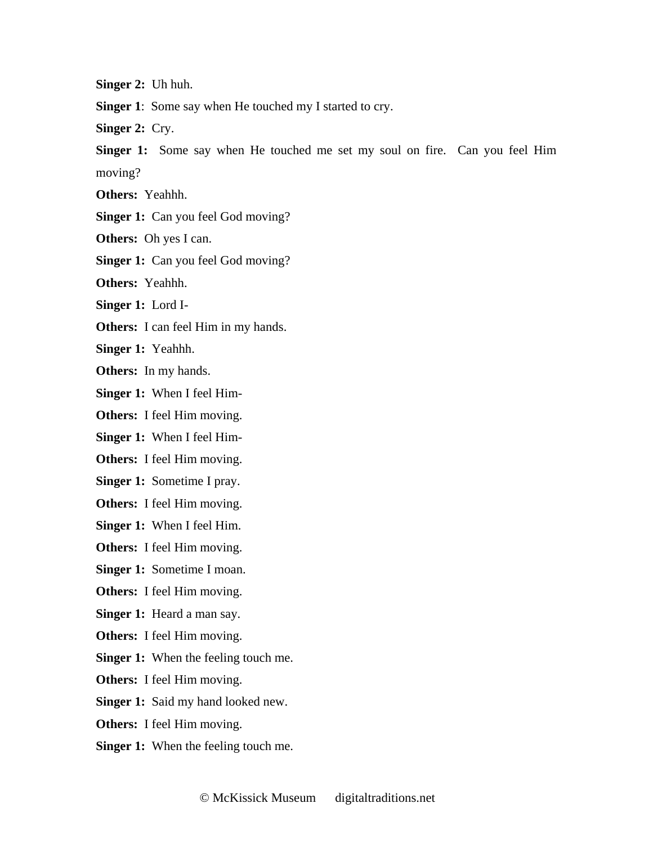**Singer 2:** Uh huh.

**Singer 1**: Some say when He touched my I started to cry.

**Singer 2:** Cry.

**Singer 1:** Some say when He touched me set my soul on fire. Can you feel Him moving?

**Others:** Yeahhh.

**Singer 1:** Can you feel God moving?

**Others:** Oh yes I can.

**Singer 1:** Can you feel God moving?

**Others:** Yeahhh.

**Singer 1:** Lord I-

**Others:** I can feel Him in my hands.

**Singer 1:** Yeahhh.

**Others:** In my hands.

**Singer 1:** When I feel Him-

**Others:** I feel Him moving.

**Singer 1:** When I feel Him-

**Others:** I feel Him moving.

**Singer 1:** Sometime I pray.

**Others:** I feel Him moving.

**Singer 1:** When I feel Him.

**Others:** I feel Him moving.

**Singer 1:** Sometime I moan.

**Others:** I feel Him moving.

**Singer 1:** Heard a man say.

**Others:** I feel Him moving.

**Singer 1:** When the feeling touch me.

**Others:** I feel Him moving.

**Singer 1:** Said my hand looked new.

**Others:** I feel Him moving.

**Singer 1:** When the feeling touch me.